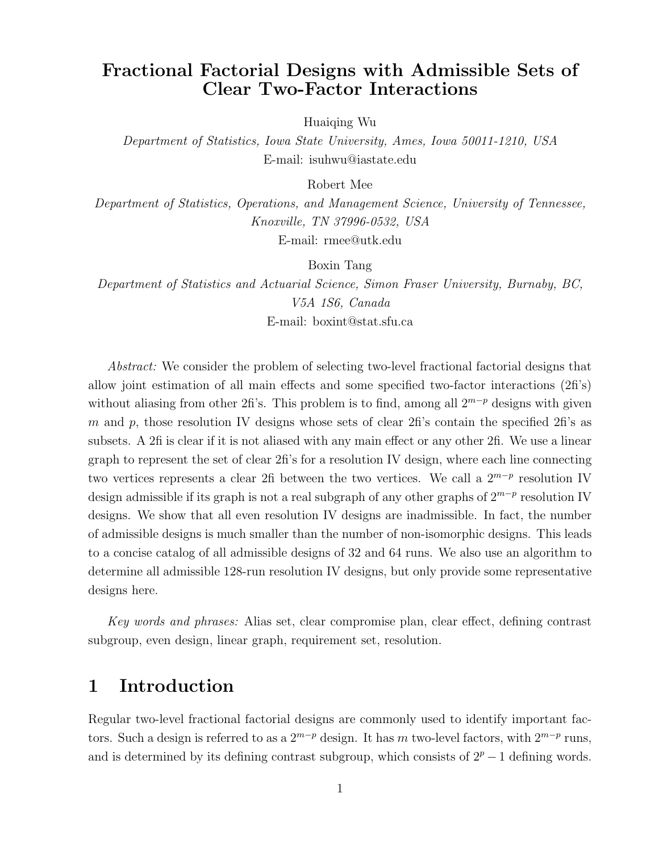# Fractional Factorial Designs with Admissible Sets of Clear Two-Factor Interactions

Huaiqing Wu

Department of Statistics, Iowa State University, Ames, Iowa 50011-1210, USA E-mail: isuhwu@iastate.edu

Robert Mee

Department of Statistics, Operations, and Management Science, University of Tennessee, Knoxville, TN 37996-0532, USA

E-mail: rmee@utk.edu

Boxin Tang

Department of Statistics and Actuarial Science, Simon Fraser University, Burnaby, BC, V5A 1S6, Canada E-mail: boxint@stat.sfu.ca

Abstract: We consider the problem of selecting two-level fractional factorial designs that allow joint estimation of all main effects and some specified two-factor interactions (2fi's) without aliasing from other 2fi's. This problem is to find, among all  $2^{m-p}$  designs with given m and p, those resolution IV designs whose sets of clear  $2fi$ 's contain the specified  $2fi$ 's as subsets. A 2fi is clear if it is not aliased with any main effect or any other 2fi. We use a linear graph to represent the set of clear 2fi's for a resolution IV design, where each line connecting two vertices represents a clear 2fi between the two vertices. We call a  $2^{m-p}$  resolution IV design admissible if its graph is not a real subgraph of any other graphs of  $2^{m-p}$  resolution IV designs. We show that all even resolution IV designs are inadmissible. In fact, the number of admissible designs is much smaller than the number of non-isomorphic designs. This leads to a concise catalog of all admissible designs of 32 and 64 runs. We also use an algorithm to determine all admissible 128-run resolution IV designs, but only provide some representative designs here.

Key words and phrases: Alias set, clear compromise plan, clear effect, defining contrast subgroup, even design, linear graph, requirement set, resolution.

#### 1 Introduction

Regular two-level fractional factorial designs are commonly used to identify important factors. Such a design is referred to as a  $2^{m-p}$  design. It has m two-level factors, with  $2^{m-p}$  runs, and is determined by its defining contrast subgroup, which consists of  $2^p - 1$  defining words.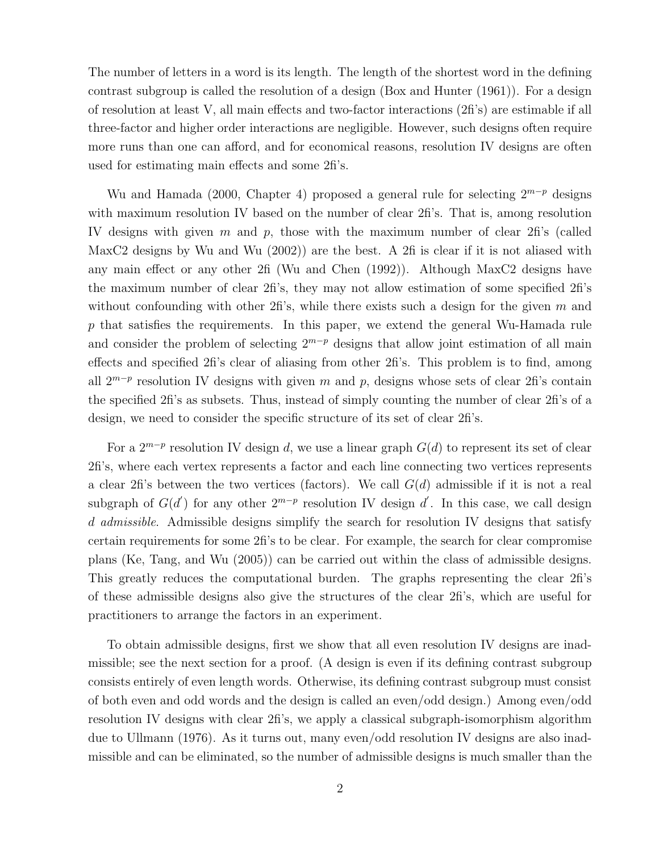The number of letters in a word is its length. The length of the shortest word in the defining contrast subgroup is called the resolution of a design (Box and Hunter (1961)). For a design of resolution at least V, all main effects and two-factor interactions (2fi's) are estimable if all three-factor and higher order interactions are negligible. However, such designs often require more runs than one can afford, and for economical reasons, resolution IV designs are often used for estimating main effects and some 2fi's.

Wu and Hamada (2000, Chapter 4) proposed a general rule for selecting  $2^{m-p}$  designs with maximum resolution IV based on the number of clear 2fi's. That is, among resolution IV designs with given m and p, those with the maximum number of clear 2fi's (called MaxC2 designs by Wu and Wu (2002)) are the best. A 2fi is clear if it is not aliased with any main effect or any other 2fi (Wu and Chen (1992)). Although MaxC2 designs have the maximum number of clear 2fi's, they may not allow estimation of some specified 2fi's without confounding with other 2fi's, while there exists such a design for the given  $m$  and  $p$  that satisfies the requirements. In this paper, we extend the general Wu-Hamada rule and consider the problem of selecting  $2^{m-p}$  designs that allow joint estimation of all main effects and specified 2fi's clear of aliasing from other 2fi's. This problem is to find, among all  $2^{m-p}$  resolution IV designs with given m and p, designs whose sets of clear 2fi's contain the specified 2fi's as subsets. Thus, instead of simply counting the number of clear 2fi's of a design, we need to consider the specific structure of its set of clear 2fi's.

For a  $2^{m-p}$  resolution IV design d, we use a linear graph  $G(d)$  to represent its set of clear 2fi's, where each vertex represents a factor and each line connecting two vertices represents a clear 2fi's between the two vertices (factors). We call  $G(d)$  admissible if it is not a real subgraph of  $G(d')$  for any other  $2^{m-p}$  resolution IV design d'. In this case, we call design d admissible. Admissible designs simplify the search for resolution IV designs that satisfy certain requirements for some 2fi's to be clear. For example, the search for clear compromise plans (Ke, Tang, and Wu (2005)) can be carried out within the class of admissible designs. This greatly reduces the computational burden. The graphs representing the clear 2fi's of these admissible designs also give the structures of the clear 2fi's, which are useful for practitioners to arrange the factors in an experiment.

To obtain admissible designs, first we show that all even resolution IV designs are inadmissible; see the next section for a proof. (A design is even if its defining contrast subgroup consists entirely of even length words. Otherwise, its defining contrast subgroup must consist of both even and odd words and the design is called an even/odd design.) Among even/odd resolution IV designs with clear 2fi's, we apply a classical subgraph-isomorphism algorithm due to Ullmann (1976). As it turns out, many even/odd resolution IV designs are also inadmissible and can be eliminated, so the number of admissible designs is much smaller than the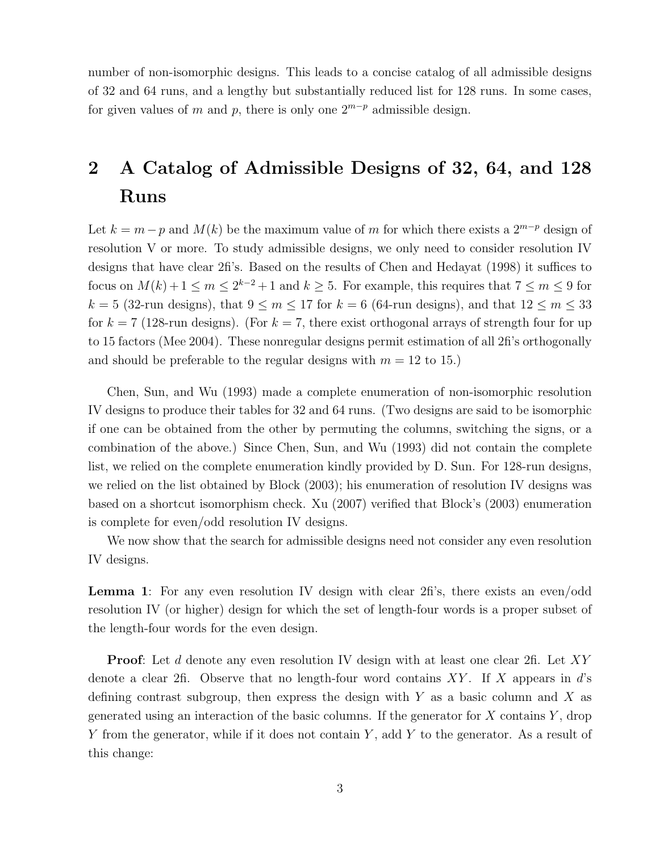number of non-isomorphic designs. This leads to a concise catalog of all admissible designs of 32 and 64 runs, and a lengthy but substantially reduced list for 128 runs. In some cases, for given values of m and p, there is only one  $2^{m-p}$  admissible design.

# 2 A Catalog of Admissible Designs of 32, 64, and 128 Runs

Let  $k = m - p$  and  $M(k)$  be the maximum value of m for which there exists a  $2^{m-p}$  design of resolution V or more. To study admissible designs, we only need to consider resolution IV designs that have clear 2fi's. Based on the results of Chen and Hedayat (1998) it suffices to focus on  $M(k) + 1 \le m \le 2^{k-2} + 1$  and  $k \ge 5$ . For example, this requires that  $7 \le m \le 9$  for  $k = 5$  (32-run designs), that  $9 \le m \le 17$  for  $k = 6$  (64-run designs), and that  $12 \le m \le 33$ for  $k = 7$  (128-run designs). (For  $k = 7$ , there exist orthogonal arrays of strength four for up to 15 factors (Mee 2004). These nonregular designs permit estimation of all 2fi's orthogonally and should be preferable to the regular designs with  $m = 12$  to 15.)

Chen, Sun, and Wu (1993) made a complete enumeration of non-isomorphic resolution IV designs to produce their tables for 32 and 64 runs. (Two designs are said to be isomorphic if one can be obtained from the other by permuting the columns, switching the signs, or a combination of the above.) Since Chen, Sun, and Wu (1993) did not contain the complete list, we relied on the complete enumeration kindly provided by D. Sun. For 128-run designs, we relied on the list obtained by Block (2003); his enumeration of resolution IV designs was based on a shortcut isomorphism check. Xu (2007) verified that Block's (2003) enumeration is complete for even/odd resolution IV designs.

We now show that the search for admissible designs need not consider any even resolution IV designs.

Lemma 1: For any even resolution IV design with clear 2fi's, there exists an even/odd resolution IV (or higher) design for which the set of length-four words is a proper subset of the length-four words for the even design.

**Proof:** Let d denote any even resolution IV design with at least one clear 2fi. Let XY denote a clear 2fi. Observe that no length-four word contains XY. If X appears in  $d$ 's defining contrast subgroup, then express the design with  $Y$  as a basic column and  $X$  as generated using an interaction of the basic columns. If the generator for  $X$  contains  $Y$ , drop Y from the generator, while if it does not contain Y, add Y to the generator. As a result of this change: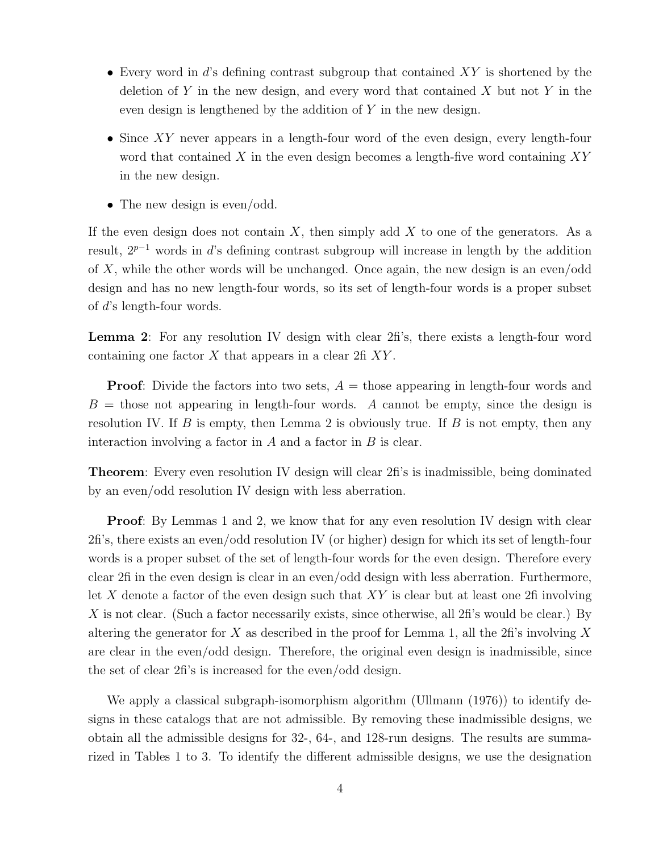- Every word in  $d$ 's defining contrast subgroup that contained  $XY$  is shortened by the deletion of Y in the new design, and every word that contained X but not Y in the even design is lengthened by the addition of Y in the new design.
- Since XY never appears in a length-four word of the even design, every length-four word that contained X in the even design becomes a length-five word containing  $XY$ in the new design.
- The new design is even/odd.

If the even design does not contain  $X$ , then simply add  $X$  to one of the generators. As a result, 2<sup>p</sup>−<sup>1</sup> words in d's defining contrast subgroup will increase in length by the addition of  $X$ , while the other words will be unchanged. Once again, the new design is an even/odd design and has no new length-four words, so its set of length-four words is a proper subset of d's length-four words.

Lemma 2: For any resolution IV design with clear 2 fi's, there exists a length-four word containing one factor  $X$  that appears in a clear  $2f(X)$ .

**Proof:** Divide the factors into two sets,  $A =$  those appearing in length-four words and  $B =$  those not appearing in length-four words. A cannot be empty, since the design is resolution IV. If B is empty, then Lemma 2 is obviously true. If B is not empty, then any interaction involving a factor in  $A$  and a factor in  $B$  is clear.

Theorem: Every even resolution IV design will clear 2fi's is inadmissible, being dominated by an even/odd resolution IV design with less aberration.

Proof: By Lemmas 1 and 2, we know that for any even resolution IV design with clear 2fi's, there exists an even/odd resolution IV (or higher) design for which its set of length-four words is a proper subset of the set of length-four words for the even design. Therefore every clear 2fi in the even design is clear in an even/odd design with less aberration. Furthermore, let X denote a factor of the even design such that  $XY$  is clear but at least one 2fi involving X is not clear. (Such a factor necessarily exists, since otherwise, all  $2\text{fi}$ 's would be clear.) By altering the generator for X as described in the proof for Lemma 1, all the 2fi's involving X are clear in the even/odd design. Therefore, the original even design is inadmissible, since the set of clear 2fi's is increased for the even/odd design.

We apply a classical subgraph-isomorphism algorithm (Ullmann (1976)) to identify designs in these catalogs that are not admissible. By removing these inadmissible designs, we obtain all the admissible designs for 32-, 64-, and 128-run designs. The results are summarized in Tables 1 to 3. To identify the different admissible designs, we use the designation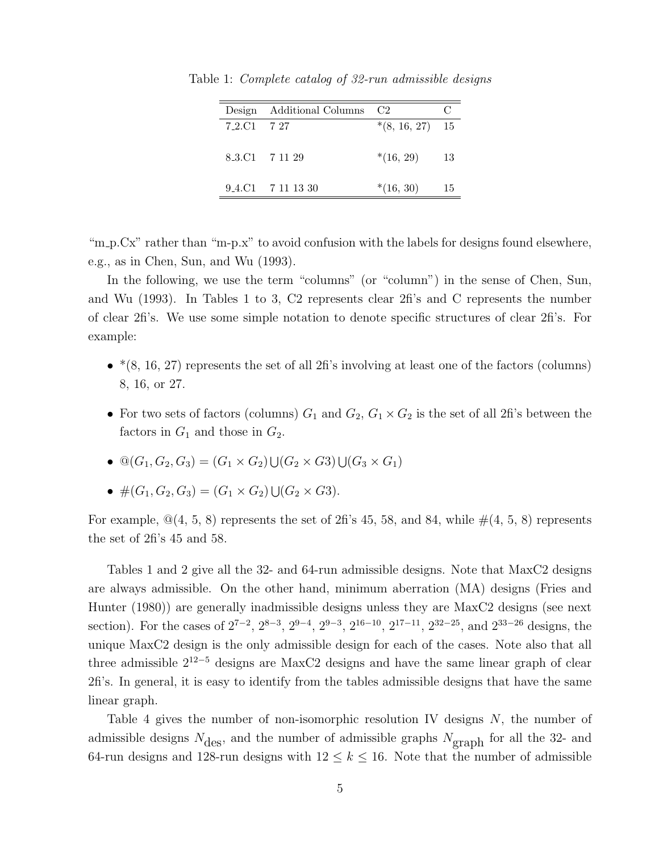| Design      | Additional Columns                                         | C2                |    |
|-------------|------------------------------------------------------------|-------------------|----|
| 7 2.C1 7 27 |                                                            | $*(8, 16, 27)$ 15 |    |
|             |                                                            |                   |    |
|             | 8.3.C1 7 11 29                                             | $*(16, 29)$       | 13 |
|             |                                                            |                   |    |
|             | $9.4 \text{ }$ .C1 $7 \text{ } 11 \text{ } 13 \text{ } 30$ | $*(16, 30)$       | 15 |
|             |                                                            |                   |    |

Table 1: Complete catalog of 32-run admissible designs

"m\_p.Cx" rather than "m-p.x" to avoid confusion with the labels for designs found elsewhere, e.g., as in Chen, Sun, and Wu (1993).

In the following, we use the term "columns" (or "column") in the sense of Chen, Sun, and Wu (1993). In Tables 1 to 3, C2 represents clear 2fi's and C represents the number of clear 2fi's. We use some simple notation to denote specific structures of clear 2fi's. For example:

- $*(8, 16, 27)$  represents the set of all 2fi's involving at least one of the factors (columns) 8, 16, or 27.
- For two sets of factors (columns)  $G_1$  and  $G_2$ ,  $G_1 \times G_2$  is the set of all 2fi's between the factors in  $G_1$  and those in  $G_2$ .
- $\mathbb{Q}(G_1, G_2, G_3) = (G_1 \times G_2) \cup (G_2 \times G_3) \cup (G_3 \times G_1)$
- $\#(G_1, G_2, G_3) = (G_1 \times G_2) \cup (G_2 \times G_3).$

For example,  $\mathcal{Q}(4, 5, 8)$  represents the set of 2fi's 45, 58, and 84, while  $\#(4, 5, 8)$  represents the set of 2fi's 45 and 58.

Tables 1 and 2 give all the 32- and 64-run admissible designs. Note that MaxC2 designs are always admissible. On the other hand, minimum aberration (MA) designs (Fries and Hunter (1980)) are generally inadmissible designs unless they are MaxC2 designs (see next section). For the cases of  $2^{7-2}$ ,  $2^{8-3}$ ,  $2^{9-4}$ ,  $2^{9-3}$ ,  $2^{16-10}$ ,  $2^{17-11}$ ,  $2^{32-25}$ , and  $2^{33-26}$  designs, the unique MaxC2 design is the only admissible design for each of the cases. Note also that all three admissible  $2^{12-5}$  designs are MaxC2 designs and have the same linear graph of clear 2fi's. In general, it is easy to identify from the tables admissible designs that have the same linear graph.

Table 4 gives the number of non-isomorphic resolution IV designs N, the number of admissible designs  $N_{\text{des}}$ , and the number of admissible graphs  $N_{\text{graph}}$  for all the 32- and 64-run designs and 128-run designs with  $12 \leq k \leq 16$ . Note that the number of admissible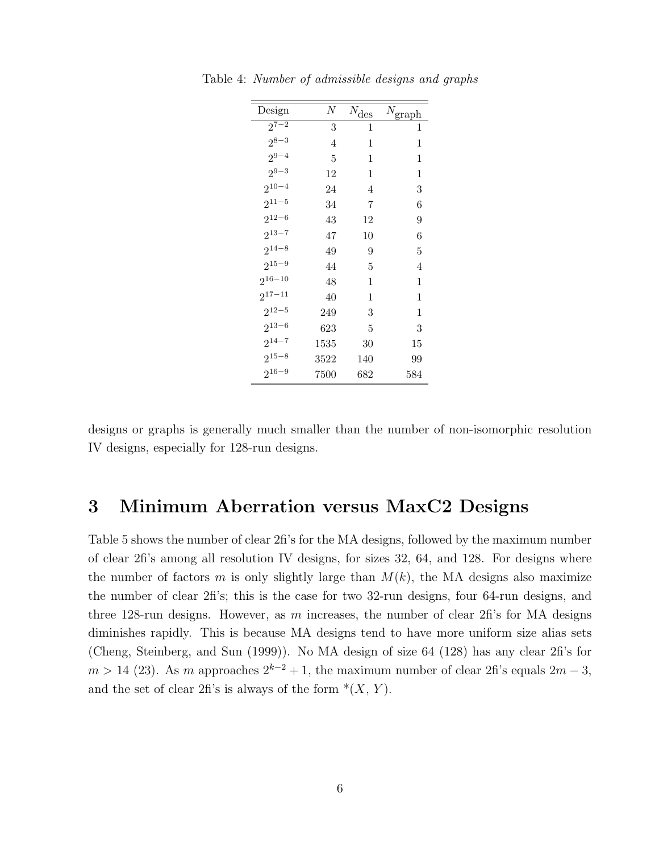| Design      | N    | $N_{\hbox{\small{des}}}$ | $N_{\text{graph}}$ |
|-------------|------|--------------------------|--------------------|
| $2^{7-2}$   | 3    | 1                        | 1                  |
| $2^{8-3}$   | 4    | 1                        | 1                  |
| $2^{9-4}$   | 5    | 1                        | 1                  |
| $2^{9-3}$   | 12   | 1                        | 1                  |
| $2^{10-4}$  | 24   | 4                        | 3                  |
| $2^{11-5}$  | 34   | 7                        | 6                  |
| $2^{12-6}$  | 43   | 12                       | 9                  |
| $2^{13-7}$  | 47   | $10\,$                   | 6                  |
| $2^{14-8}$  | 49   | 9                        | 5                  |
| $2^{15-9}$  | 44   | 5                        | 4                  |
| $2^{16-10}$ | 48   | 1                        | 1                  |
| $2^{17-11}$ | 40   | 1                        | 1                  |
| $2^{12-5}$  | 249  | 3                        | 1                  |
| $2^{13-6}$  | 623  | 5                        | 3                  |
| $2^{14-7}$  | 1535 | 30                       | 15                 |
| $2^{15-8}$  | 3522 | 140                      | 99                 |
| $2^{16-9}$  | 7500 | 682                      | 584                |

Table 4: Number of admissible designs and graphs

designs or graphs is generally much smaller than the number of non-isomorphic resolution IV designs, especially for 128-run designs.

### 3 Minimum Aberration versus MaxC2 Designs

Table 5 shows the number of clear 2fi's for the MA designs, followed by the maximum number of clear 2fi's among all resolution IV designs, for sizes 32, 64, and 128. For designs where the number of factors m is only slightly large than  $M(k)$ , the MA designs also maximize the number of clear 2fi's; this is the case for two 32-run designs, four 64-run designs, and three 128-run designs. However, as  $m$  increases, the number of clear 2fi's for MA designs diminishes rapidly. This is because MA designs tend to have more uniform size alias sets (Cheng, Steinberg, and Sun (1999)). No MA design of size 64 (128) has any clear 2fi's for  $m > 14$  (23). As m approaches  $2^{k-2} + 1$ , the maximum number of clear 2fi's equals  $2m - 3$ , and the set of clear 2fi's is always of the form  $*(X, Y)$ .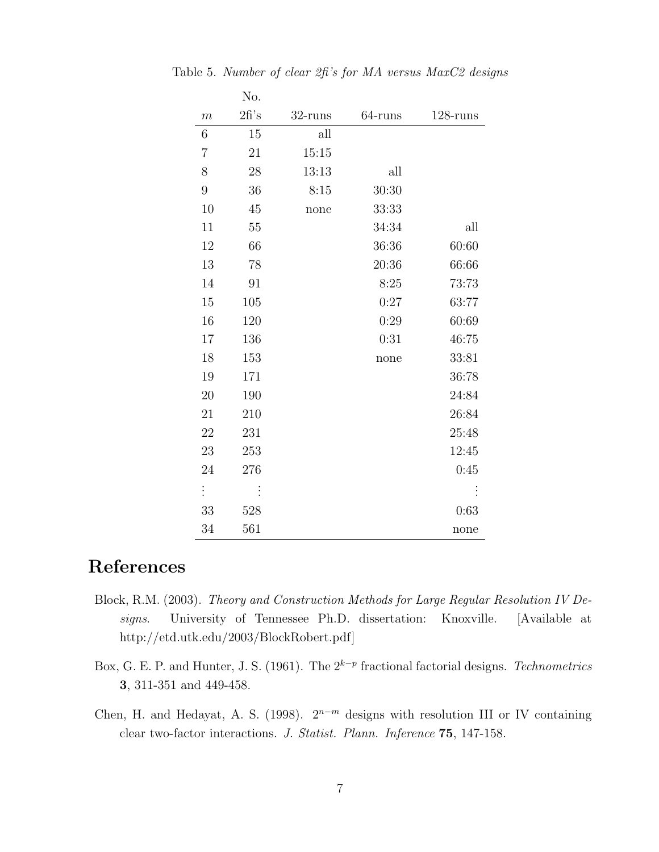|                  | No.  |            |            |             |
|------------------|------|------------|------------|-------------|
| $\boldsymbol{m}$ | 2f's | $32$ -runs | $64$ -runs | $128$ -runs |
| 6                | 15   | all        |            |             |
| 7                | 21   | 15:15      |            |             |
| 8                | 28   | 13:13      | all        |             |
| $\overline{9}$   | 36   | 8:15       | 30:30      |             |
| 10               | 45   | none       | 33:33      |             |
| 11               | 55   |            | 34:34      | all         |
| 12               | 66   |            | 36:36      | 60:60       |
| 13               | 78   |            | 20:36      | 66:66       |
| 14               | 91   |            | 8:25       | 73:73       |
| 15               | 105  |            | 0:27       | 63:77       |
| 16               | 120  |            | 0:29       | 60:69       |
| 17               | 136  |            | 0:31       | 46:75       |
| 18               | 153  |            | none       | 33:81       |
| 19               | 171  |            |            | 36:78       |
| 20               | 190  |            |            | 24:84       |
| 21               | 210  |            |            | 26:84       |
| 22               | 231  |            |            | 25:48       |
| 23               | 253  |            |            | 12:45       |
| 24               | 276  |            |            | 0:45        |
| $\vdots$         |      |            |            |             |
| 33               | 528  |            |            | 0:63        |
| 34               | 561  |            |            | none        |

Table 5. Number of clear 2fi's for MA versus MaxC2 designs

# References

- Block, R.M. (2003). Theory and Construction Methods for Large Regular Resolution IV Designs. University of Tennessee Ph.D. dissertation: Knoxville. [Available at http://etd.utk.edu/2003/BlockRobert.pdf]
- Box, G. E. P. and Hunter, J. S. (1961). The  $2^{k-p}$  fractional factorial designs. Technometrics 3, 311-351 and 449-458.
- Chen, H. and Hedayat, A. S. (1998).  $2^{n-m}$  designs with resolution III or IV containing clear two-factor interactions. J. Statist. Plann. Inference 75, 147-158.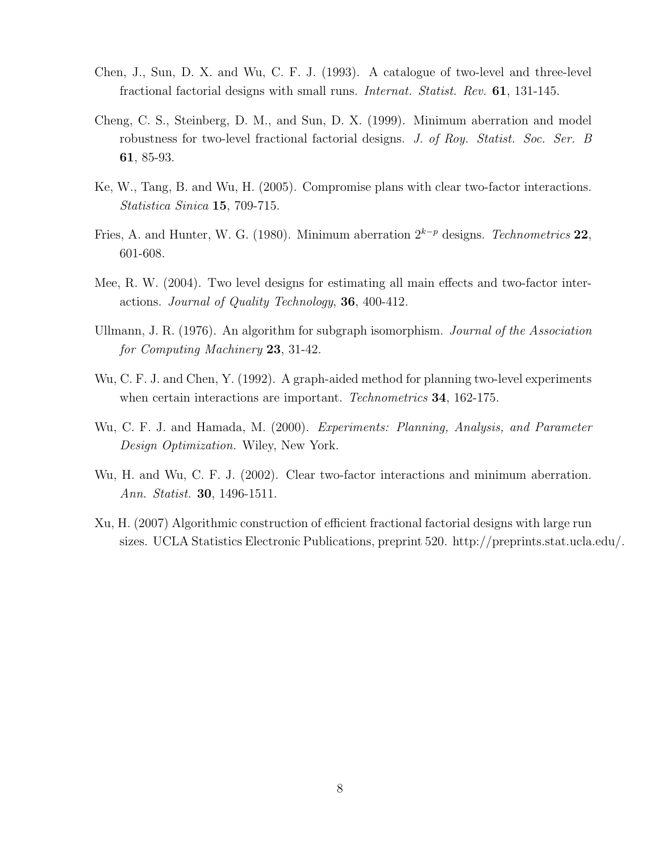- Chen, J., Sun, D. X. and Wu, C. F. J. (1993). A catalogue of two-level and three-level fractional factorial designs with small runs. Internat. Statist. Rev. 61, 131-145.
- Cheng, C. S., Steinberg, D. M., and Sun, D. X. (1999). Minimum aberration and model robustness for two-level fractional factorial designs. J. of Roy. Statist. Soc. Ser. B 61, 85-93.
- Ke, W., Tang, B. and Wu, H. (2005). Compromise plans with clear two-factor interactions. Statistica Sinica 15, 709-715.
- Fries, A. and Hunter, W. G. (1980). Minimum aberration  $2^{k-p}$  designs. Technometrics 22, 601-608.
- Mee, R. W. (2004). Two level designs for estimating all main effects and two-factor interactions. Journal of Quality Technology, 36, 400-412.
- Ullmann, J. R. (1976). An algorithm for subgraph isomorphism. Journal of the Association for Computing Machinery 23, 31-42.
- Wu, C. F. J. and Chen, Y. (1992). A graph-aided method for planning two-level experiments when certain interactions are important. *Technometrics* **34**, 162-175.
- Wu, C. F. J. and Hamada, M. (2000). Experiments: Planning, Analysis, and Parameter Design Optimization. Wiley, New York.
- Wu, H. and Wu, C. F. J. (2002). Clear two-factor interactions and minimum aberration. Ann. Statist. 30, 1496-1511.
- Xu, H. (2007) Algorithmic construction of efficient fractional factorial designs with large run sizes. UCLA Statistics Electronic Publications, preprint 520. http://preprints.stat.ucla.edu/.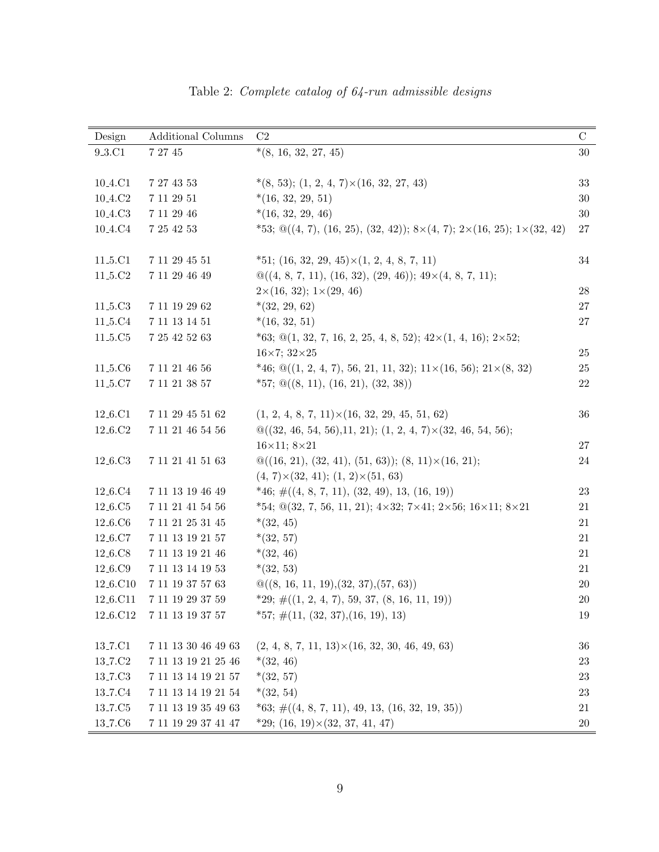| Design                           | <b>Additional Columns</b>   | C <sub>2</sub>                                                                                                  | $\mathbf C$ |
|----------------------------------|-----------------------------|-----------------------------------------------------------------------------------------------------------------|-------------|
| 9 <sub>-3</sub> .C1              | $7\ 27\ 45$                 | $*(8, 16, 32, 27, 45)$                                                                                          | $30\,$      |
|                                  |                             |                                                                                                                 |             |
| 10 <sub>-4</sub> .C1             | 7 27 43 53                  | $*(8, 53); (1, 2, 4, 7) \times (16, 32, 27, 43)$                                                                | 33          |
| $10.4{\rm .}C2$                  | $7\ 11\ 29\ 51$             | $*(16, 32, 29, 51)$                                                                                             | 30          |
| 10 <sub>-4</sub> .C <sub>3</sub> | 7 11 29 46                  | $*(16, 32, 29, 46)$                                                                                             | 30          |
| 10 <sub>-4</sub> .C <sub>4</sub> | 7 25 42 53                  | $*53; \mathcal{Q}((4, 7), (16, 25), (32, 42)); 8 \times (4, 7); 2 \times (16, 25); 1 \times (32, 42)$           | 27          |
|                                  |                             |                                                                                                                 |             |
| 11 <sub>-5</sub> .C1             | 7 11 29 45 51               | $*51; (16, 32, 29, 45) \times (1, 2, 4, 8, 7, 11)$                                                              | 34          |
| 11 <sub>-5</sub> .C <sub>2</sub> | $7\ 11\ 29\ 46\ 49$         | $\mathcal{Q}((4, 8, 7, 11), (16, 32), (29, 46))$ ; $49 \times (4, 8, 7, 11)$ ;                                  |             |
|                                  |                             | $2\times(16, 32); 1\times(29, 46)$                                                                              | $28\,$      |
| 11 <sub>-5</sub> .C <sub>3</sub> | $7\ 11\ 19\ 29\ 62$         | $*(32, 29, 62)$                                                                                                 | $27\,$      |
| 11 <sub>-5</sub> .C <sub>4</sub> | $7\ 11\ 13\ 14\ 51$         | $*(16, 32, 51)$                                                                                                 | $27\,$      |
| 11 <sub>-5</sub> .C <sub>5</sub> | $7\ 25\ 42\ 52\ 63$         | $*63; \mathcal{Q}(1, 32, 7, 16, 2, 25, 4, 8, 52); 42\times(1, 4, 16); 2\times52;$                               |             |
|                                  |                             | $16\times7;\,32\times25$                                                                                        | 25          |
| 11 <sub>-5</sub> .C <sub>6</sub> | $7\ 11\ 21\ 46\ 56$         | $*46; \mathcal{Q}((1, 2, 4, 7), 56, 21, 11, 32); 11\times(16, 56); 21\times(8, 32)$                             | 25          |
| 11 <sub>-5</sub> .C7             | 7 11 21 38 57               | $*57; \mathcal{Q}((8, 11), (16, 21), (32, 38))$                                                                 | 22          |
|                                  |                             |                                                                                                                 |             |
| 12 <sub>-6</sub> .C1             | $7\ 11\ 29\ 45\ 51\ 62$     | $(1, 2, 4, 8, 7, 11) \times (16, 32, 29, 45, 51, 62)$                                                           | 36          |
| 12_6.C2                          | $7\ 11\ 21\ 46\ 54\ 56$     | $\mathcal{Q}((32, 46, 54, 56), 11, 21);$ (1, 2, 4, 7) $\times$ (32, 46, 54, 56);                                |             |
|                                  |                             | $16 \times 11; 8 \times 21$                                                                                     | $27\,$      |
| 12_6.C3                          | $7\ 11\ 21\ 41\ 51\ 63$     | $\mathcal{Q}((16, 21), (32, 41), (51, 63)); (8, 11)\times(16, 21);$                                             | $24\,$      |
|                                  |                             | $(4, 7) \times (32, 41);$ $(1, 2) \times (51, 63)$                                                              |             |
| 12 <sub>-6</sub> .C <sub>4</sub> | $7\ 11\ 13\ 19\ 46\ 49$     | $*46; \#((4, 8, 7, 11), (32, 49), 13, (16, 19))$                                                                | 23          |
| 12 <sub>-6</sub> .C <sub>5</sub> | $7\ 11\ 21\ 41\ 54\ 56$     | $*54$ ; $@(32, 7, 56, 11, 21)$ ; $4 \times 32$ ; $7 \times 41$ ; $2 \times 56$ ; $16 \times 11$ ; $8 \times 21$ | 21          |
| 12 <sub>-6</sub> .C <sub>6</sub> | $7\ 11\ 21\ 25\ 31\ 45$     | $*(32, 45)$                                                                                                     | 21          |
| 12 <sub>-6</sub> .C7             | $7\ 11\ 13\ 19\ 21\ 57$     | $*(32, 57)$                                                                                                     | 21          |
| 12 <sub>-6</sub> .C8             | $7\ 11\ 13\ 19\ 21\ 46$     | $*(32, 46)$                                                                                                     | 21          |
| 12 <sub>-6</sub> .C9             | $7\ 11\ 13\ 14\ 19\ 53$     | $*(32, 53)$                                                                                                     | 21          |
| 12 <sub>-6</sub> .C10            | $7\ 11\ 19\ 37\ 57\ 63$     | $\mathcal{Q}((8, 16, 11, 19), (32, 37), (57, 63))$                                                              | $20\,$      |
| 12 <sub>-6</sub> .C11            | $7\ 11\ 19\ 29\ 37\ 59$     | $*29; \#((1, 2, 4, 7), 59, 37, (8, 16, 11, 19))$                                                                | <b>20</b>   |
| 12 <sub>-6</sub> .C12            | 7 11 13 19 37 57            | $*57; \#(11, (32, 37), (16, 19), 13)$                                                                           | 19          |
|                                  |                             |                                                                                                                 |             |
| 13 <sub>-7</sub> .C1             | 7 11 13 30 46 49 63         | $(2, 4, 8, 7, 11, 13) \times (16, 32, 30, 46, 49, 63)$                                                          | 36          |
| 13 <sub>-7</sub> .C <sub>2</sub> | $7\ 11\ 13\ 19\ 21\ 25\ 46$ | $*(32, 46)$                                                                                                     | 23          |
| 13 <sub>-7</sub> .C <sub>3</sub> | 7 11 13 14 19 21 57         | $*(32, 57)$                                                                                                     | $23\,$      |
| 13 <sub>-7</sub> .C <sub>4</sub> | $7\ 11\ 13\ 14\ 19\ 21\ 54$ | $*(32, 54)$                                                                                                     | 23          |
| 13 <sub>-7</sub> .C <sub>5</sub> | 7 11 13 19 35 49 63         | $*63; \#((4, 8, 7, 11), 49, 13, (16, 32, 19, 35))$                                                              | 21          |
| 13 <sub>-7</sub> .C <sub>6</sub> | 7 11 19 29 37 41 47         | $*29; (16, 19) \times (32, 37, 41, 47)$                                                                         | <b>20</b>   |

Table 2: Complete catalog of 64-run admissible designs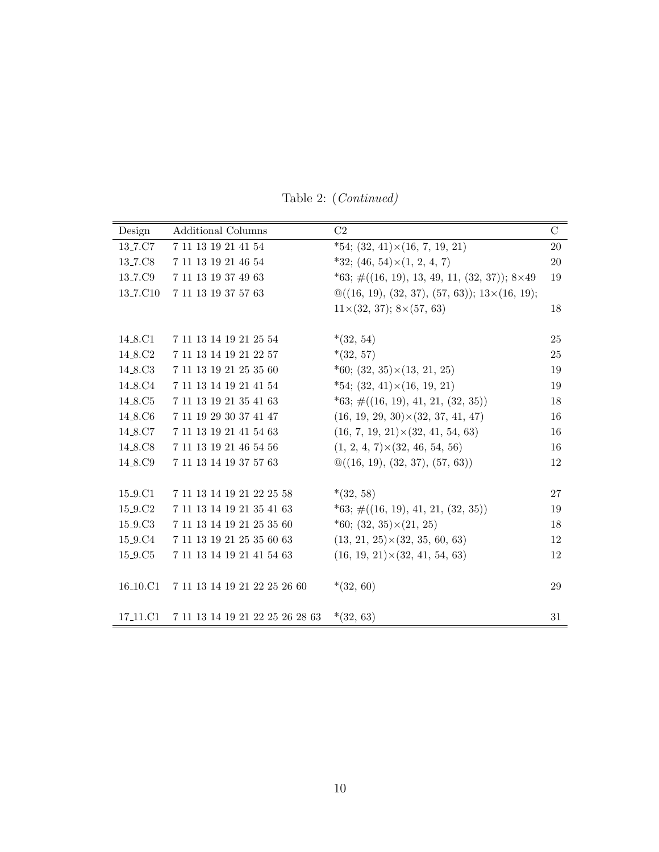| Design                           | Additional Columns              | C <sub>2</sub>                                                   | $\mathcal{C}$ |
|----------------------------------|---------------------------------|------------------------------------------------------------------|---------------|
| 13 <sub>-7</sub> .C7             | 7 11 13 19 21 41 54             | $*54; (32, 41) \times (16, 7, 19, 21)$                           | 20            |
| 13 <sub>-7</sub> .C8             | 7 11 13 19 21 46 54             | $*32; (46, 54) \times (1, 2, 4, 7)$                              | <b>20</b>     |
| 13 <sub>-7</sub> .C9             | 7 11 13 19 37 49 63             | *63; $\#((16, 19), 13, 49, 11, (32, 37)); 8\times49$             | 19            |
| 13 <sub>-7</sub> .C10            | 7 11 13 19 37 57 63             | $\mathcal{Q}((16, 19), (32, 37), (57, 63)); 13 \times (16, 19);$ |               |
|                                  |                                 | $11\times(32, 37); 8\times(57, 63)$                              | 18            |
|                                  |                                 |                                                                  |               |
| 14_8.C1                          | 7 11 13 14 19 21 25 54          | $*(32, 54)$                                                      | 25            |
| 14_8.C2                          | 7 11 13 14 19 21 22 57          | $*(32, 57)$                                                      | 25            |
| 14 <sub>-8</sub> .C <sub>3</sub> | 7 11 13 19 21 25 35 60          | $*60; (32, 35) \times (13, 21, 25)$                              | 19            |
| 14 <sub>-8</sub> .C <sub>4</sub> | 7 11 13 14 19 21 41 54          | $*54$ ; (32, 41) $\times$ (16, 19, 21)                           | 19            |
| 14 <sub>-8</sub> .C <sub>5</sub> | 7 11 13 19 21 35 41 63          | $*63; \#((16, 19), 41, 21, (32, 35))$                            | 18            |
| 14 <sub>-8</sub> .C <sub>6</sub> | 7 11 19 29 30 37 41 47          | $(16, 19, 29, 30) \times (32, 37, 41, 47)$                       | 16            |
| 14 <sub>-8</sub> .C7             | 7 11 13 19 21 41 54 63          | $(16, 7, 19, 21) \times (32, 41, 54, 63)$                        | 16            |
| 14 <sub>-8</sub> .C <sub>8</sub> | 7 11 13 19 21 46 54 56          | $(1, 2, 4, 7) \times (32, 46, 54, 56)$                           | 16            |
| 14_8.C9                          | 7 11 13 14 19 37 57 63          | $\mathcal{Q}((16, 19), (32, 37), (57, 63))$                      | 12            |
|                                  |                                 |                                                                  |               |
| 15 <sub>-9</sub> .C1             | 7 11 13 14 19 21 22 25 58       | $*(32, 58)$                                                      | 27            |
| 15 <sub>-9</sub> .C <sub>2</sub> | 7 11 13 14 19 21 35 41 63       | $*63; \#((16, 19), 41, 21, (32, 35))$                            | 19            |
| 15 <sub>-9</sub> .C <sub>3</sub> | 7 11 13 14 19 21 25 35 60       | $*60; (32, 35) \times (21, 25)$                                  | 18            |
| 15 <sub>-9</sub> .C <sub>4</sub> | 7 11 13 19 21 25 35 60 63       | $(13, 21, 25) \times (32, 35, 60, 63)$                           | 12            |
| 15 <sub>-9</sub> .C <sub>5</sub> | 7 11 13 14 19 21 41 54 63       | $(16, 19, 21) \times (32, 41, 54, 63)$                           | 12            |
|                                  |                                 |                                                                  |               |
| 16 <sub>-10</sub> .C1            | 7 11 13 14 19 21 22 25 26 60    | $*(32, 60)$                                                      | 29            |
|                                  |                                 |                                                                  |               |
| 17 <sub>-11</sub> .C1            | 7 11 13 14 19 21 22 25 26 28 63 | $*(32, 63)$                                                      | 31            |

Table 2: (Continued)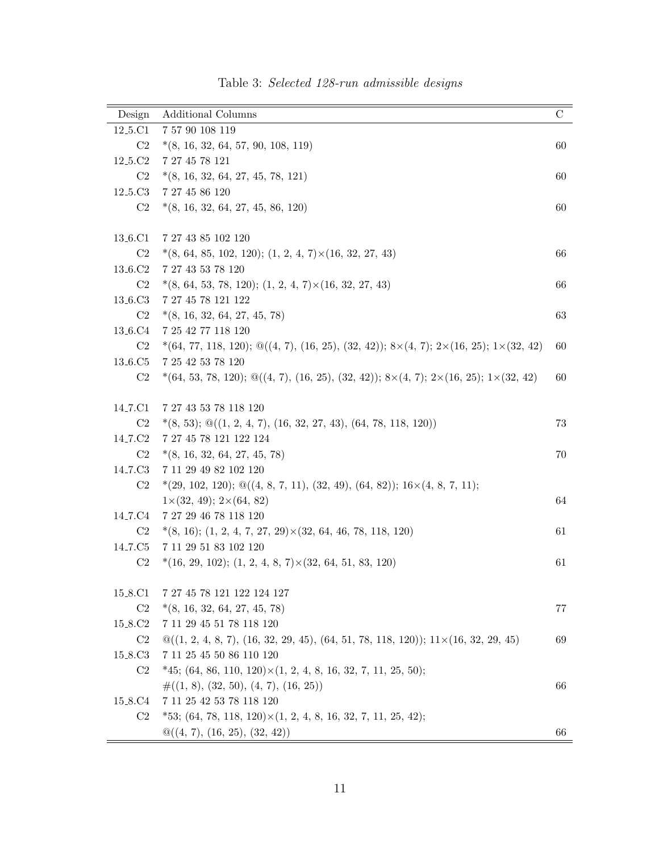| Design                           | <b>Additional Columns</b>                                                                                             | $\mathcal{C}$ |
|----------------------------------|-----------------------------------------------------------------------------------------------------------------------|---------------|
| 12 <sub>-5</sub> .C1             | 7 57 90 108 119                                                                                                       |               |
| C <sub>2</sub>                   | $*(8, 16, 32, 64, 57, 90, 108, 119)$                                                                                  | 60            |
| 12 <sub>-5</sub> .C <sub>2</sub> | 7 27 45 78 121                                                                                                        |               |
| C2                               | $*(8, 16, 32, 64, 27, 45, 78, 121)$                                                                                   | 60            |
| 12 <sub>-5</sub> .C <sub>3</sub> | 7 27 45 86 120                                                                                                        |               |
| C2                               | $*(8, 16, 32, 64, 27, 45, 86, 120)$                                                                                   | 60            |
| 13 <sub>-6</sub> .C1             | 7 27 43 85 102 120                                                                                                    |               |
| C <sub>2</sub>                   | $*(8, 64, 85, 102, 120);$ (1, 2, 4, 7) $\times$ (16, 32, 27, 43)                                                      | 66            |
| 13 <sub>-6</sub> .C <sub>2</sub> | 7 27 43 53 78 120                                                                                                     |               |
| C <sub>2</sub>                   | $*(8, 64, 53, 78, 120); (1, 2, 4, 7) \times (16, 32, 27, 43)$                                                         | 66            |
| 13 <sub>-6</sub> .C <sub>3</sub> | 7 27 45 78 121 122                                                                                                    |               |
| C2                               | $*(8, 16, 32, 64, 27, 45, 78)$                                                                                        | 63            |
| 13 <sub>-6</sub> .C <sub>4</sub> | 7 25 42 77 118 120                                                                                                    |               |
| C <sub>2</sub>                   | $*(64, 77, 118, 120); \mathcal{Q}((4, 7), (16, 25), (32, 42)); 8 \times (4, 7); 2 \times (16, 25); 1 \times (32, 42)$ | 60            |
| 13 <sub>-6</sub> .C <sub>5</sub> | 7 25 42 53 78 120                                                                                                     |               |
| C <sub>2</sub>                   | $*(64, 53, 78, 120); \mathcal{Q}((4, 7), (16, 25), (32, 42)); 8 \times (4, 7); 2 \times (16, 25); 1 \times (32, 42)$  | 60            |
|                                  |                                                                                                                       |               |
| 14 <sub>-7</sub> .C1             | 7 27 43 53 78 118 120                                                                                                 |               |
| C <sub>2</sub>                   | $*(8, 53); \mathcal{Q}((1, 2, 4, 7), (16, 32, 27, 43), (64, 78, 118, 120))$                                           | 73            |
| 14 <sub>-7</sub> .C <sub>2</sub> | 7 27 45 78 121 122 124                                                                                                |               |
| C2                               | $*(8, 16, 32, 64, 27, 45, 78)$                                                                                        | 70            |
| 14 <sub>-7</sub> .C <sub>3</sub> | 7 11 29 49 82 102 120                                                                                                 |               |
| C2                               | $*(29, 102, 120); \mathcal{Q}((4, 8, 7, 11), (32, 49), (64, 82)); 16 \times (4, 8, 7, 11);$                           |               |
|                                  | $1\times(32, 49); 2\times(64, 82)$                                                                                    | 64            |
| 14 <sub>-7</sub> .C <sub>4</sub> | 7 27 29 46 78 118 120                                                                                                 |               |
| C <sub>2</sub>                   | $*(8, 16); (1, 2, 4, 7, 27, 29) \times (32, 64, 46, 78, 118, 120)$                                                    | 61            |
| 14 <sub>-7</sub> .C <sub>5</sub> | 7 11 29 51 83 102 120                                                                                                 |               |
| C <sub>2</sub>                   | $*(16, 29, 102); (1, 2, 4, 8, 7) \times (32, 64, 51, 83, 120)$                                                        | 61            |
| 15_8.C1                          | 7 27 45 78 121 122 124 127                                                                                            |               |
| C <sub>2</sub>                   | $*(8, 16, 32, 64, 27, 45, 78)$                                                                                        | 77            |
| 15_8.C2                          | 7 11 29 45 51 78 118 120                                                                                              |               |
| C2                               | $\mathcal{Q}((1, 2, 4, 8, 7), (16, 32, 29, 45), (64, 51, 78, 118, 120)); 11 \times (16, 32, 29, 45)$                  | 69            |
| 15 <sub>-8</sub> .C <sub>3</sub> | 7 11 25 45 50 86 110 120                                                                                              |               |
| C <sub>2</sub>                   | $*45; (64, 86, 110, 120) \times (1, 2, 4, 8, 16, 32, 7, 11, 25, 50);$                                                 |               |
|                                  | $\#((1, 8), (32, 50), (4, 7), (16, 25))$                                                                              | 66            |
| 15_8.C4                          | 7 11 25 42 53 78 118 120                                                                                              |               |
| C2                               | *53; $(64, 78, 118, 120) \times (1, 2, 4, 8, 16, 32, 7, 11, 25, 42);$                                                 |               |
|                                  | $\mathbb{Q}((4, 7), (16, 25), (32, 42))$                                                                              | 66            |

Table 3: Selected 128-run admissible designs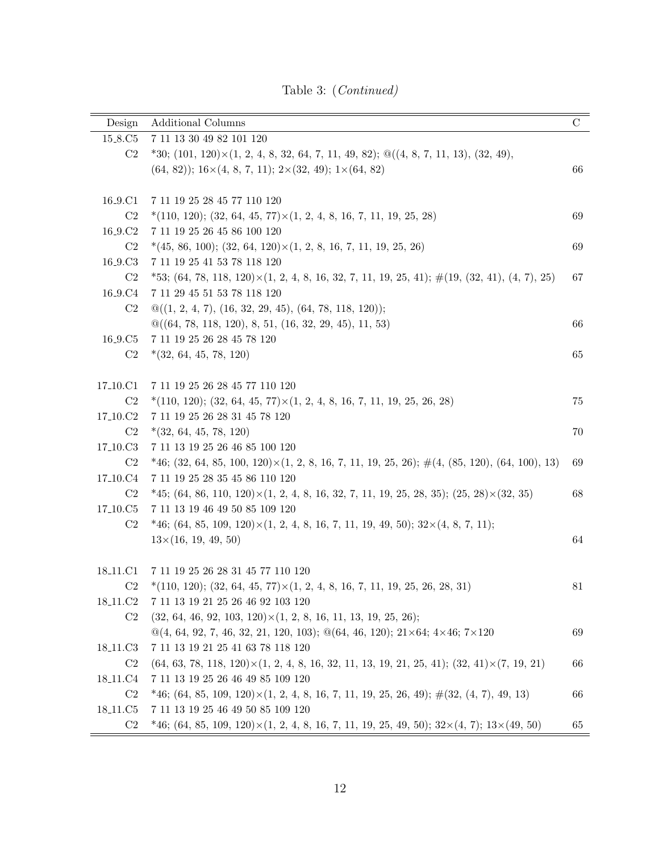Table 3: (Continued)

| Design                            | <b>Additional Columns</b>                                                                                            | $\mathbf C$ |
|-----------------------------------|----------------------------------------------------------------------------------------------------------------------|-------------|
| 15_8.C5                           | 7 11 13 30 49 82 101 120                                                                                             |             |
| C <sub>2</sub>                    | $*30; (101, 120) \times (1, 2, 4, 8, 32, 64, 7, 11, 49, 82); \mathcal{Q}((4, 8, 7, 11, 13), (32, 49),$               |             |
|                                   | $(64, 82)$ ; $16 \times (4, 8, 7, 11)$ ; $2 \times (32, 49)$ ; $1 \times (64, 82)$                                   | 66          |
|                                   |                                                                                                                      |             |
| 16 <sub>-9</sub> .C1              | 7 11 19 25 28 45 77 110 120                                                                                          |             |
| C <sub>2</sub>                    | $*(110, 120);$ (32, 64, 45, 77) $\times$ (1, 2, 4, 8, 16, 7, 11, 19, 25, 28)                                         | 69          |
| 16 <sub>-9</sub> .C <sub>2</sub>  | 7 11 19 25 26 45 86 100 120                                                                                          |             |
| C <sub>2</sub>                    | $*(45, 86, 100);$ $(32, 64, 120) \times (1, 2, 8, 16, 7, 11, 19, 25, 26)$                                            | 69          |
| 16 <sub>-9</sub> .C <sub>3</sub>  | 7 11 19 25 41 53 78 118 120                                                                                          |             |
| C <sub>2</sub>                    | $*53; (64, 78, 118, 120) \times (1, 2, 4, 8, 16, 32, 7, 11, 19, 25, 41);$ $\#(19, (32, 41), (4, 7), 25)$             | 67          |
| 16 <sub>-9</sub> .C <sub>4</sub>  | 7 11 29 45 51 53 78 118 120                                                                                          |             |
| C <sub>2</sub>                    | $\mathcal{Q}((1, 2, 4, 7), (16, 32, 29, 45), (64, 78, 118, 120));$                                                   |             |
|                                   | $\mathcal{Q}((64, 78, 118, 120), 8, 51, (16, 32, 29, 45), 11, 53)$                                                   | 66          |
| 16 <sub>-9</sub> .C <sub>5</sub>  | $7\ 11\ 19\ 25\ 26\ 28\ 45\ 78\ 120$                                                                                 |             |
| C2                                | $*(32, 64, 45, 78, 120)$                                                                                             | 65          |
|                                   |                                                                                                                      |             |
| 17 <sub>-10.C1</sub>              | 7 11 19 25 26 28 45 77 110 120                                                                                       |             |
| C <sub>2</sub>                    | $*(110, 120);$ (32, 64, 45, 77) $\times$ (1, 2, 4, 8, 16, 7, 11, 19, 25, 26, 28)                                     | 75          |
| 17 <sub>-10</sub> .C <sub>2</sub> | 7 11 19 25 26 28 31 45 78 120                                                                                        |             |
| C <sub>2</sub>                    | $*(32, 64, 45, 78, 120)$                                                                                             | 70          |
| 17 <sub>-10</sub> .C <sub>3</sub> | 7 11 13 19 25 26 46 85 100 120                                                                                       |             |
| C2                                | $*46; (32, 64, 85, 100, 120) \times (1, 2, 8, 16, 7, 11, 19, 25, 26);$ #(4, (85, 120), (64, 100), 13)                | 69          |
| 17 <sub>-10.</sub> C <sub>4</sub> | 7 11 19 25 28 35 45 86 110 120                                                                                       |             |
| C <sub>2</sub>                    | $*45; (64, 86, 110, 120) \times (1, 2, 4, 8, 16, 32, 7, 11, 19, 25, 28, 35); (25, 28) \times (32, 35)$               | 68          |
| 17 <sub>-10</sub> .C <sub>5</sub> | 7 11 13 19 46 49 50 85 109 120                                                                                       |             |
| C2                                | $*46; (64, 85, 109, 120) \times (1, 2, 4, 8, 16, 7, 11, 19, 49, 50); 32 \times (4, 8, 7, 11);$                       |             |
|                                   | $13\times(16, 19, 49, 50)$                                                                                           | 64          |
|                                   |                                                                                                                      |             |
| 18 <sub>-11</sub> .C1             | 7 11 19 25 26 28 31 45 77 110 120                                                                                    |             |
| C <sub>2</sub>                    | $*(110, 120);$ (32, 64, 45, 77) $\times$ (1, 2, 4, 8, 16, 7, 11, 19, 25, 26, 28, 31)                                 | 81          |
| 18 <sub>-11</sub> .C <sub>2</sub> | 7 11 13 19 21 25 26 46 92 103 120                                                                                    |             |
| C <sub>2</sub>                    | $(32, 64, 46, 92, 103, 120) \times (1, 2, 8, 16, 11, 13, 19, 25, 26);$                                               |             |
|                                   | $\mathcal{Q}(4, 64, 92, 7, 46, 32, 21, 120, 103); \mathcal{Q}(64, 46, 120); 21 \times 64; 4 \times 46; 7 \times 120$ | 69          |
| 18 <sub>-11</sub> .C <sub>3</sub> | 7 11 13 19 21 25 41 63 78 118 120                                                                                    |             |
| C <sub>2</sub>                    | $(64, 63, 78, 118, 120) \times (1, 2, 4, 8, 16, 32, 11, 13, 19, 21, 25, 41);$ $(32, 41) \times (7, 19, 21)$          | 66          |
| 18 <sub>-11</sub> .C <sub>4</sub> | 7 11 13 19 25 26 46 49 85 109 120                                                                                    |             |
| C <sub>2</sub>                    | $*46; (64, 85, 109, 120) \times (1, 2, 4, 8, 16, 7, 11, 19, 25, 26, 49); \#(32, (4, 7), 49, 13)$                     | 66          |
| 18 <sub>-11</sub> .C <sub>5</sub> | 7 11 13 19 25 46 49 50 85 109 120                                                                                    |             |
| C <sub>2</sub>                    | $*46; (64, 85, 109, 120) \times (1, 2, 4, 8, 16, 7, 11, 19, 25, 49, 50); 32 \times (4, 7); 13 \times (49, 50)$       | 65          |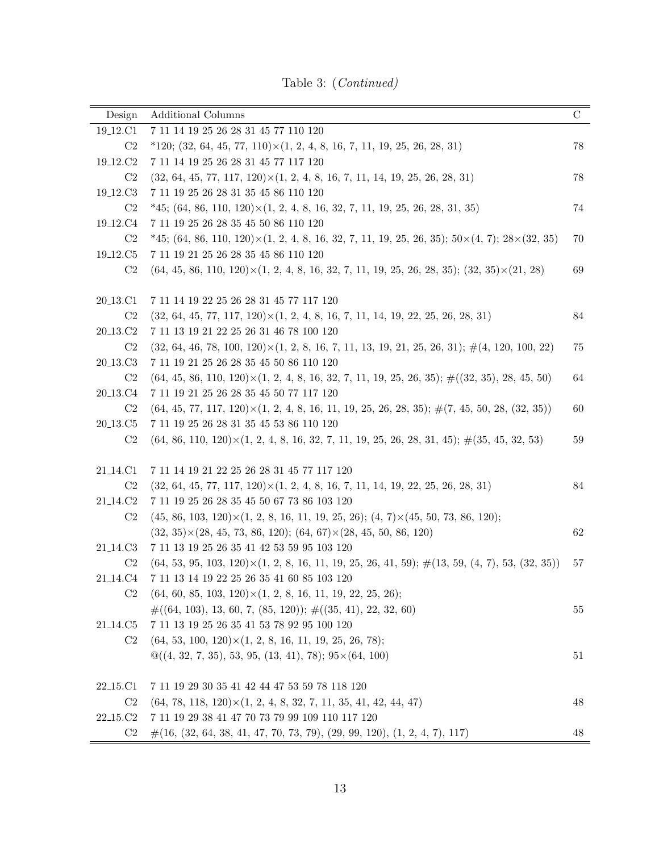Table 3: (Continued)

| <b>Additional Columns</b>                                                                                          | $\mathcal{C}$                                                                                                                                                                                                                                                                                                                                                       |
|--------------------------------------------------------------------------------------------------------------------|---------------------------------------------------------------------------------------------------------------------------------------------------------------------------------------------------------------------------------------------------------------------------------------------------------------------------------------------------------------------|
| 7 11 14 19 25 26 28 31 45 77 110 120                                                                               |                                                                                                                                                                                                                                                                                                                                                                     |
| $*120; (32, 64, 45, 77, 110) \times (1, 2, 4, 8, 16, 7, 11, 19, 25, 26, 28, 31)$                                   | 78                                                                                                                                                                                                                                                                                                                                                                  |
| 7 11 14 19 25 26 28 31 45 77 117 120                                                                               |                                                                                                                                                                                                                                                                                                                                                                     |
| $(32, 64, 45, 77, 117, 120) \times (1, 2, 4, 8, 16, 7, 11, 14, 19, 25, 26, 28, 31)$                                | 78                                                                                                                                                                                                                                                                                                                                                                  |
| 7 11 19 25 26 28 31 35 45 86 110 120                                                                               |                                                                                                                                                                                                                                                                                                                                                                     |
| $*45; (64, 86, 110, 120) \times (1, 2, 4, 8, 16, 32, 7, 11, 19, 25, 26, 28, 31, 35)$                               | 74                                                                                                                                                                                                                                                                                                                                                                  |
| 7 11 19 25 26 28 35 45 50 86 110 120                                                                               |                                                                                                                                                                                                                                                                                                                                                                     |
| $*45; (64, 86, 110, 120) \times (1, 2, 4, 8, 16, 32, 7, 11, 19, 25, 26, 35); 50 \times (4, 7); 28 \times (32, 35)$ | 70                                                                                                                                                                                                                                                                                                                                                                  |
| 7 11 19 21 25 26 28 35 45 86 110 120                                                                               |                                                                                                                                                                                                                                                                                                                                                                     |
| $(64, 45, 86, 110, 120) \times (1, 2, 4, 8, 16, 32, 7, 11, 19, 25, 26, 28, 35);$ $(32, 35) \times (21, 28)$        | 69                                                                                                                                                                                                                                                                                                                                                                  |
|                                                                                                                    |                                                                                                                                                                                                                                                                                                                                                                     |
| 7 11 14 19 22 25 26 28 31 45 77 117 120                                                                            |                                                                                                                                                                                                                                                                                                                                                                     |
| $(32, 64, 45, 77, 117, 120) \times (1, 2, 4, 8, 16, 7, 11, 14, 19, 22, 25, 26, 28, 31)$                            | 84                                                                                                                                                                                                                                                                                                                                                                  |
| 7 11 13 19 21 22 25 26 31 46 78 100 120                                                                            |                                                                                                                                                                                                                                                                                                                                                                     |
| $(32, 64, 46, 78, 100, 120) \times (1, 2, 8, 16, 7, 11, 13, 19, 21, 25, 26, 31);$ $\#(4, 120, 100, 22)$            | 75                                                                                                                                                                                                                                                                                                                                                                  |
| 7 11 19 21 25 26 28 35 45 50 86 110 120                                                                            |                                                                                                                                                                                                                                                                                                                                                                     |
| $(64, 45, 86, 110, 120) \times (1, 2, 4, 8, 16, 32, 7, 11, 19, 25, 26, 35);$ $\#((32, 35), 28, 45, 50)$            | 64                                                                                                                                                                                                                                                                                                                                                                  |
| 7 11 19 21 25 26 28 35 45 50 77 117 120                                                                            |                                                                                                                                                                                                                                                                                                                                                                     |
| $(64, 45, 77, 117, 120) \times (1, 2, 4, 8, 16, 11, 19, 25, 26, 28, 35);$ $\#(7, 45, 50, 28, (32, 35))$            | 60                                                                                                                                                                                                                                                                                                                                                                  |
| 7 11 19 25 26 28 31 35 45 53 86 110 120                                                                            |                                                                                                                                                                                                                                                                                                                                                                     |
| $(64, 86, 110, 120) \times (1, 2, 4, 8, 16, 32, 7, 11, 19, 25, 26, 28, 31, 45);$ $\#(35, 45, 32, 53)$              | 59                                                                                                                                                                                                                                                                                                                                                                  |
|                                                                                                                    |                                                                                                                                                                                                                                                                                                                                                                     |
|                                                                                                                    |                                                                                                                                                                                                                                                                                                                                                                     |
|                                                                                                                    | 84                                                                                                                                                                                                                                                                                                                                                                  |
|                                                                                                                    |                                                                                                                                                                                                                                                                                                                                                                     |
|                                                                                                                    |                                                                                                                                                                                                                                                                                                                                                                     |
| $(32, 35) \times (28, 45, 73, 86, 120);$ $(64, 67) \times (28, 45, 50, 86, 120)$                                   | 62                                                                                                                                                                                                                                                                                                                                                                  |
| $\ 7 \ 11 \ 13 \ 19 \ 25 \ 26 \ 35 \ 41 \ 42 \ 53 \ 59 \ 95 \ 103 \ 120$                                           |                                                                                                                                                                                                                                                                                                                                                                     |
| $(64, 53, 95, 103, 120) \times (1, 2, 8, 16, 11, 19, 25, 26, 41, 59);$ $\#(13, 59, (4, 7), 53, (32, 35))$          | 57                                                                                                                                                                                                                                                                                                                                                                  |
| $\ 7 \ 11 \ 13 \ 14 \ 19 \ 22 \ 25 \ 26 \ 35 \ 41 \ 60 \ 85 \ 103 \ 120$                                           |                                                                                                                                                                                                                                                                                                                                                                     |
| $(64, 60, 85, 103, 120) \times (1, 2, 8, 16, 11, 19, 22, 25, 26);$                                                 |                                                                                                                                                                                                                                                                                                                                                                     |
| $\#((64, 103), 13, 60, 7, (85, 120));$ $\#((35, 41), 22, 32, 60)$                                                  | 55                                                                                                                                                                                                                                                                                                                                                                  |
| 7 11 13 19 25 26 35 41 53 78 92 95 100 120                                                                         |                                                                                                                                                                                                                                                                                                                                                                     |
| $(64, 53, 100, 120) \times (1, 2, 8, 16, 11, 19, 25, 26, 78);$                                                     |                                                                                                                                                                                                                                                                                                                                                                     |
| $\mathcal{Q}((4, 32, 7, 35), 53, 95, (13, 41), 78)$ ; $95 \times (64, 100)$                                        | 51                                                                                                                                                                                                                                                                                                                                                                  |
| 7 11 19 29 30 35 41 42 44 47 53 59 78 118 120                                                                      |                                                                                                                                                                                                                                                                                                                                                                     |
|                                                                                                                    | 48                                                                                                                                                                                                                                                                                                                                                                  |
| 7 11 19 29 38 41 47 70 73 79 99 109 110 117 120                                                                    |                                                                                                                                                                                                                                                                                                                                                                     |
| $\#(16, (32, 64, 38, 41, 47, 70, 73, 79), (29, 99, 120), (1, 2, 4, 7), 117)$                                       | 48                                                                                                                                                                                                                                                                                                                                                                  |
|                                                                                                                    | 7 11 14 19 21 22 25 26 28 31 45 77 117 120<br>$(32, 64, 45, 77, 117, 120) \times (1, 2, 4, 8, 16, 7, 11, 14, 19, 22, 25, 26, 28, 31)$<br>7 11 19 25 26 28 35 45 50 67 73 86 103 120<br>$(45, 86, 103, 120) \times (1, 2, 8, 16, 11, 19, 25, 26);$ $(4, 7) \times (45, 50, 73, 86, 120);$<br>$(64, 78, 118, 120) \times (1, 2, 4, 8, 32, 7, 11, 35, 41, 42, 44, 47)$ |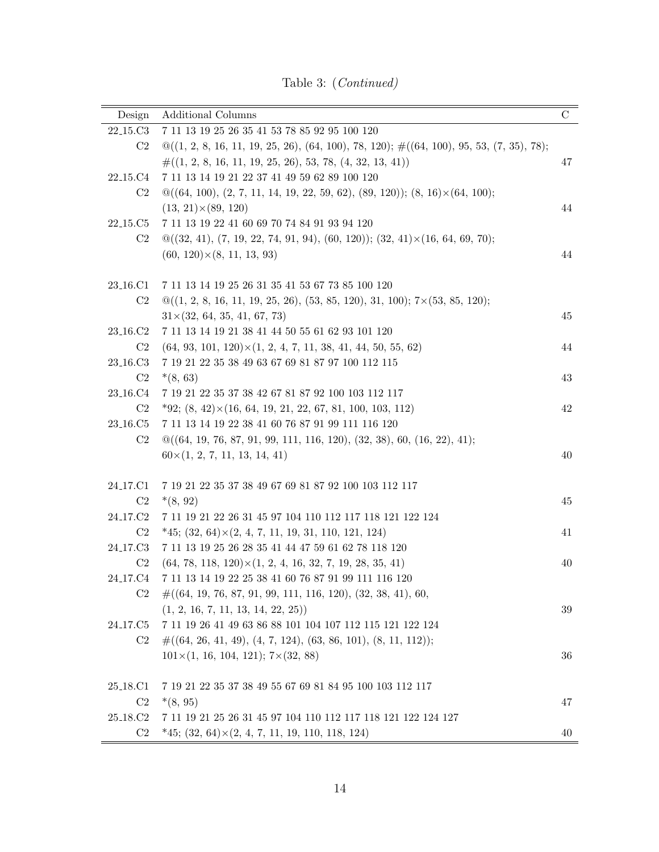Table 3: (Continued)

| Design                            | Additional Columns                                                                                      | $\mathcal{C}$ |
|-----------------------------------|---------------------------------------------------------------------------------------------------------|---------------|
| 22 <sub>-15</sub> .C3             | $7 \ 11 \ 13 \ 19 \ 25 \ 26 \ 35 \ 41 \ 53 \ 78 \ 85 \ 92 \ 95 \ 100 \ 120$                             |               |
| C <sub>2</sub>                    | $\mathcal{Q}((1, 2, 8, 16, 11, 19, 25, 26), (64, 100), 78, 120);$ $\#((64, 100), 95, 53, (7, 35), 78);$ |               |
|                                   | $\#((1, 2, 8, 16, 11, 19, 25, 26), 53, 78, (4, 32, 13, 41))$                                            | 47            |
| 22 <sub>-15</sub> .C <sub>4</sub> | $\ 7 \ 11 \ 13 \ 14 \ 19 \ 21 \ 22 \ 37 \ 41 \ 49 \ 59 \ 62 \ 89 \ 100 \ 120$                           |               |
| C2                                | $\mathcal{Q}((64, 100), (2, 7, 11, 14, 19, 22, 59, 62), (89, 120)); (8, 16) \times (64, 100);$          |               |
|                                   | $(13, 21) \times (89, 120)$                                                                             | 44            |
| 22 <sub>-15</sub> .C <sub>5</sub> | 7 11 13 19 22 41 60 69 70 74 84 91 93 94 120                                                            |               |
| C2                                | $\mathcal{Q}((32, 41), (7, 19, 22, 74, 91, 94), (60, 120)); (32, 41) \times (16, 64, 69, 70);$          |               |
|                                   | $(60, 120) \times (8, 11, 13, 93)$                                                                      | 44            |
| 23 <sub>-16</sub> .C1             | 7 11 13 14 19 25 26 31 35 41 53 67 73 85 100 120                                                        |               |
| C <sub>2</sub>                    | $\mathcal{Q}((1, 2, 8, 16, 11, 19, 25, 26), (53, 85, 120), 31, 100); 7 \times (53, 85, 120);$           |               |
|                                   | $31\times(32, 64, 35, 41, 67, 73)$                                                                      | 45            |
| 23 <sub>-16</sub> .C <sub>2</sub> | 7 11 13 14 19 21 38 41 44 50 55 61 62 93 101 120                                                        |               |
| C <sub>2</sub>                    | $(64, 93, 101, 120) \times (1, 2, 4, 7, 11, 38, 41, 44, 50, 55, 62)$                                    | 44            |
| 23 <sub>-16</sub> .C <sub>3</sub> | 7 19 21 22 35 38 49 63 67 69 81 87 97 100 112 115                                                       |               |
| C <sub>2</sub>                    | $*(8, 63)$                                                                                              | 43            |
| 23 <sub>-16</sub> .C <sub>4</sub> | 7 19 21 22 35 37 38 42 67 81 87 92 100 103 112 117                                                      |               |
| C2                                | $*92; (8, 42) \times (16, 64, 19, 21, 22, 67, 81, 100, 103, 112)$                                       | 42            |
| 23 <sub>-16</sub> .C <sub>5</sub> | 7 11 13 14 19 22 38 41 60 76 87 91 99 111 116 120                                                       |               |
| C <sub>2</sub>                    | $\mathcal{Q}((64, 19, 76, 87, 91, 99, 111, 116, 120), (32, 38), 60, (16, 22), 41);$                     |               |
|                                   | $60\times(1, 2, 7, 11, 13, 14, 41)$                                                                     | 40            |
|                                   |                                                                                                         |               |
| 24 <sub>-17</sub> .C1             | 7 19 21 22 35 37 38 49 67 69 81 87 92 100 103 112 117                                                   |               |
| C <sub>2</sub>                    | $*(8, 92)$                                                                                              | 45            |
| 24 <sub>-17</sub> .C <sub>2</sub> | 7 11 19 21 22 26 31 45 97 104 110 112 117 118 121 122 124                                               |               |
| C <sub>2</sub>                    | $*45; (32, 64) \times (2, 4, 7, 11, 19, 31, 110, 121, 124)$                                             | 41            |
| 24 <sub>-17</sub> .C <sub>3</sub> | 7 11 13 19 25 26 28 35 41 44 47 59 61 62 78 118 120                                                     |               |
| C2                                | $(64, 78, 118, 120) \times (1, 2, 4, 16, 32, 7, 19, 28, 35, 41)$                                        | 40            |
| 24 <sub>-17</sub> .C4             | 7 11 13 14 19 22 25 38 41 60 76 87 91 99 111 116 120                                                    |               |
| C <sub>2</sub>                    | $\#((64, 19, 76, 87, 91, 99, 111, 116, 120), (32, 38, 41), 60,$                                         |               |
|                                   | (1, 2, 16, 7, 11, 13, 14, 22, 25))                                                                      | 39            |
| 24 <sub>-17</sub> .C <sub>5</sub> | 7 11 19 26 41 49 63 86 88 101 104 107 112 115 121 122 124                                               |               |
| C <sub>2</sub>                    | $\#((64, 26, 41, 49), (4, 7, 124), (63, 86, 101), (8, 11, 112));$                                       |               |
|                                   | $101\times(1, 16, 104, 121); 7\times(32, 88)$                                                           | 36            |
| 25 <sub>-18</sub> .C1             | 7 19 21 22 35 37 38 49 55 67 69 81 84 95 100 103 112 117                                                |               |
| C <sub>2</sub>                    | $*(8, 95)$                                                                                              | 47            |
| 25 <sub>-18</sub> .C <sub>2</sub> | 7 11 19 21 25 26 31 45 97 104 110 112 117 118 121 122 124 127                                           |               |
| C2                                | $*45; (32, 64) \times (2, 4, 7, 11, 19, 110, 118, 124)$                                                 | 40            |
|                                   |                                                                                                         |               |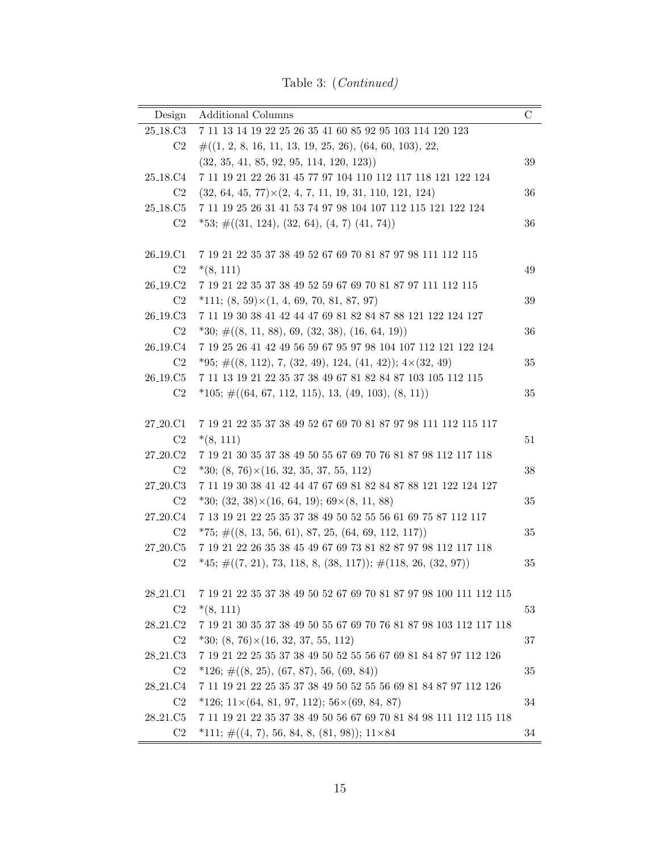Table 3: (Continued)

| Design                            | <b>Additional Columns</b>                                                                      | С      |
|-----------------------------------|------------------------------------------------------------------------------------------------|--------|
| 25 <sub>-18</sub> .C <sub>3</sub> | $\ 7 \ 11 \ 13 \ 14 \ 19 \ 22 \ 25 \ 26 \ 35 \ 41 \ 60 \ 85 \ 92 \ 95 \ 103 \ 114 \ 120 \ 123$ |        |
| C2                                | $\#((1, 2, 8, 16, 11, 13, 19, 25, 26), (64, 60, 103), 22,$                                     |        |
|                                   | $(32, 35, 41, 85, 92, 95, 114, 120, 123)$                                                      | $39\,$ |
| 25 <sub>-18</sub> .C <sub>4</sub> | 7 11 19 21 22 26 31 45 77 97 104 110 112 117 118 121 122 124                                   |        |
| C2                                | $(32, 64, 45, 77) \times (2, 4, 7, 11, 19, 31, 110, 121, 124)$                                 | 36     |
| 25 <sub>-18</sub> .C5             | 7 11 19 25 26 31 41 53 74 97 98 104 107 112 115 121 122 124                                    |        |
| C2                                | $*53; \#((31, 124), (32, 64), (4, 7), (41, 74))$                                               | 36     |
|                                   |                                                                                                |        |
| 26 <sub>-19</sub> .C1             | 7 19 21 22 35 37 38 49 52 67 69 70 81 87 97 98 111 112 115                                     |        |
| C2                                | $*(8, 111)$                                                                                    | 49     |
| 26 <sub>-19</sub> .C <sub>2</sub> | 7 19 21 22 35 37 38 49 52 59 67 69 70 81 87 97 111 112 115                                     |        |
| C2                                | $*111; (8, 59) \times (1, 4, 69, 70, 81, 87, 97)$                                              | 39     |
| 26 <sub>-19</sub> .C <sub>3</sub> | 7 11 19 30 38 41 42 44 47 69 81 82 84 87 88 121 122 124 127                                    |        |
| C2                                | $*30; \#((8, 11, 88), 69, (32, 38), (16, 64, 19))$                                             | 36     |
| 26 <sub>-19</sub> .C <sub>4</sub> | 7 19 25 26 41 42 49 56 59 67 95 97 98 104 107 112 121 122 124                                  |        |
| C2                                | *95; $\#((8, 112), 7, (32, 49), 124, (41, 42))$ ; $4\times(32, 49)$                            | 35     |
| 26 <sub>-19</sub> .C <sub>5</sub> | 7 11 13 19 21 22 35 37 38 49 67 81 82 84 87 103 105 112 115                                    |        |
| C <sub>2</sub>                    | $*105; \#((64, 67, 112, 115), 13, (49, 103), (8, 11))$                                         | 35     |
|                                   |                                                                                                |        |
| 27 <sub>-20.</sub> C1             | 7 19 21 22 35 37 38 49 52 67 69 70 81 87 97 98 111 112 115 117                                 |        |
| C2                                | $*(8, 111)$                                                                                    | 51     |
| 27 <sub>-20</sub> .C <sub>2</sub> | 7 19 21 30 35 37 38 49 50 55 67 69 70 76 81 87 98 112 117 118                                  |        |
| C2                                | $*30; (8, 76) \times (16, 32, 35, 37, 55, 112)$                                                | 38     |
| 27 <sub>-20.</sub> C3             | 7 11 19 30 38 41 42 44 47 67 69 81 82 84 87 88 121 122 124 127                                 |        |
| C2                                | *30; $(32, 38) \times (16, 64, 19)$ ; $69 \times (8, 11, 88)$                                  | 35     |
| 27 <sub>-20.</sub> C <sub>4</sub> | 7 13 19 21 22 25 35 37 38 49 50 52 55 56 61 69 75 87 112 117                                   |        |
| C2                                | $*75; \#((8, 13, 56, 61), 87, 25, (64, 69, 112, 117))$                                         | 35     |
| 27 <sub>-20</sub> .C <sub>5</sub> | 7 19 21 22 26 35 38 45 49 67 69 73 81 82 87 97 98 112 117 118                                  |        |
| C <sub>2</sub>                    | $*45; \#((7, 21), 73, 118, 8, (38, 117)); \#(118, 26, (32, 97))$                               | $35\,$ |
|                                   |                                                                                                |        |
| 28 <sub>-21</sub> .C1             | 7 19 21 22 35 37 38 49 50 52 67 69 70 81 87 97 98 100 111 112 115                              |        |
| C2                                | $*(8, 111)$                                                                                    | 53     |
| 28 <sub>-21</sub> .C <sub>2</sub> | 7 19 21 30 35 37 38 49 50 55 67 69 70 76 81 87 98 103 112 117 118                              |        |
| C <sub>2</sub>                    | $*30; (8, 76) \times (16, 32, 37, 55, 112)$                                                    | 37     |
| 28 <sub>-21</sub> .C3             | 7 19 21 22 25 35 37 38 49 50 52 55 56 67 69 81 84 87 97 112 126                                |        |
| C <sub>2</sub>                    | $*126; \#((8, 25), (67, 87), 56, (69, 84))$                                                    | 35     |
| 28 <sub>-21</sub> .C <sub>4</sub> | 7 11 19 21 22 25 35 37 38 49 50 52 55 56 69 81 84 87 97 112 126                                |        |
| C <sub>2</sub>                    | *126; $11\times$ (64, 81, 97, 112); $56\times$ (69, 84, 87)                                    | 34     |
| 28 <sub>-21</sub> .C <sub>5</sub> | 7 11 19 21 22 35 37 38 49 50 56 67 69 70 81 84 98 111 112 115 118                              |        |
| C <sub>2</sub>                    | *111; $\#((4, 7), 56, 84, 8, (81, 98))$ ; 11×84                                                | 34     |